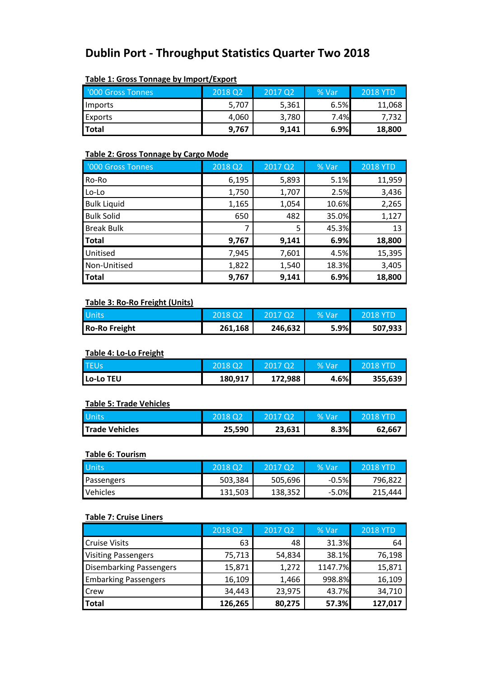# **Dublin Port - Throughput Statistics Quarter Two 2018**

| $1.4712 = 1.4732 + 0.0002$ |         |         |       |                 |
|----------------------------|---------|---------|-------|-----------------|
| <b>'000 Gross Tonnes</b>   | 2018 Q2 | 2017 02 | % Var | <b>2018 YTD</b> |
| Imports                    | 5,707   | 5,361   | 6.5%  | 11,068          |
| <b>Exports</b>             | 4,060   | 3,780   | 7.4%  | 7.732           |
| <b>Total</b>               | 9,767   | 9,141   | 6.9%  | 18,800          |

# **Table 1: Gross Tonnage by Import/Export**

# **Table 2: Gross Tonnage by Cargo Mode**

| '000 Gross Tonnes  | 2018 Q2 | 2017 Q2 | % Var | <b>2018 YTD</b> |
|--------------------|---------|---------|-------|-----------------|
| Ro-Ro              | 6,195   | 5,893   | 5.1%  | 11,959          |
| Lo-Lo              | 1,750   | 1,707   | 2.5%  | 3,436           |
| <b>Bulk Liquid</b> | 1,165   | 1,054   | 10.6% | 2,265           |
| <b>Bulk Solid</b>  | 650     | 482     | 35.0% | 1,127           |
| <b>Break Bulk</b>  |         | 5       | 45.3% | 13              |
| <b>Total</b>       | 9,767   | 9,141   | 6.9%  | 18,800          |
| Unitised           | 7,945   | 7,601   | 4.5%  | 15,395          |
| Non-Unitised       | 1,822   | 1,540   | 18.3% | 3,405           |
| <b>Total</b>       | 9,767   | 9,141   | 6.9%  | 18,800          |

# **Table 3: Ro-Ro Freight (Units)**

| Units                | 2018 02 | 2017 02 | % Var | 2018 YTD |
|----------------------|---------|---------|-------|----------|
| <b>Ro-Ro Freight</b> | 261,168 | 246,632 | 5.9%  | 507.933  |

#### **Table 4: Lo-Lo Freight**

| <b>TEUs</b> | 2018 02 | 2017 Q2 | % Van | 2018 YTD |
|-------------|---------|---------|-------|----------|
| Lo-Lo TEU   | 180,917 | 172,988 | 4.6%  | 355.639  |

#### **Table 5: Trade Vehicles**

| <b>Units</b>          |        | 2017 Q2 | % Var | 2018 YTD |
|-----------------------|--------|---------|-------|----------|
| <b>Trade Vehicles</b> | 25,590 | 23,631  | 8.3%  | 62.667   |

# **Table 6: Tourism**

| <b>Units</b>    | 2018 02 | 2017 02 | l% Vari | <b>2018 YTD</b> |
|-----------------|---------|---------|---------|-----------------|
| Passengers      | 503.384 | 505,696 | $-0.5%$ | 796.822         |
| <b>Vehicles</b> | 131.503 | 138,352 | $-5.0%$ | 215.444         |

# **Table 7: Cruise Liners**

|                                | 2018 Q2 | 2017 Q2 | % Var   | <b>2018 YTD</b> |
|--------------------------------|---------|---------|---------|-----------------|
| <b>Cruise Visits</b>           | 63      | 48      | 31.3%   | 64              |
| <b>Visiting Passengers</b>     | 75,713  | 54,834  | 38.1%   | 76,198          |
| <b>Disembarking Passengers</b> | 15,871  | 1,272   | 1147.7% | 15,871          |
| <b>Embarking Passengers</b>    | 16,109  | 1,466   | 998.8%  | 16,109          |
| <b>Crew</b>                    | 34,443  | 23,975  | 43.7%   | 34,710          |
| <b>Total</b>                   | 126,265 | 80,275  | 57.3%   | 127,017         |